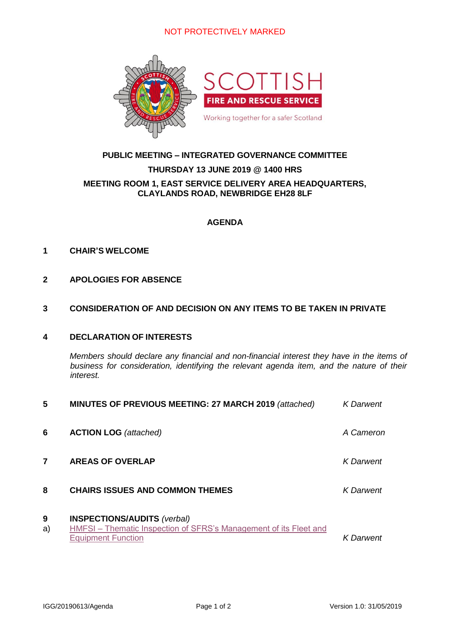## NOT PROTECTIVELY MARKED



# **PUBLIC MEETING – INTEGRATED GOVERNANCE COMMITTEE**

# **THURSDAY 13 JUNE 2019 @ 1400 HRS**

#### **MEETING ROOM 1, EAST SERVICE DELIVERY AREA HEADQUARTERS, CLAYLANDS ROAD, NEWBRIDGE EH28 8LF**

## **AGENDA**

#### **1 CHAIR'S WELCOME**

### **2 APOLOGIES FOR ABSENCE**

#### **3 CONSIDERATION OF AND DECISION ON ANY ITEMS TO BE TAKEN IN PRIVATE**

## **4 DECLARATION OF INTERESTS**

*Members should declare any financial and non-financial interest they have in the items of business for consideration, identifying the relevant agenda item, and the nature of their interest.*

| 5       | MINUTES OF PREVIOUS MEETING: 27 MARCH 2019 (attached)                                                                                       | <b>K</b> Darwent |
|---------|---------------------------------------------------------------------------------------------------------------------------------------------|------------------|
| 6       | <b>ACTION LOG</b> (attached)                                                                                                                | A Cameron        |
| 7       | <b>AREAS OF OVERLAP</b>                                                                                                                     | <b>K</b> Darwent |
| 8       | <b>CHAIRS ISSUES AND COMMON THEMES</b>                                                                                                      | K Darwent        |
| 9<br>a) | <b>INSPECTIONS/AUDITS (verbal)</b><br><b>HMFSI</b> - Thematic Inspection of SFRS's Management of its Fleet and<br><b>Equipment Function</b> | <b>K</b> Darwent |